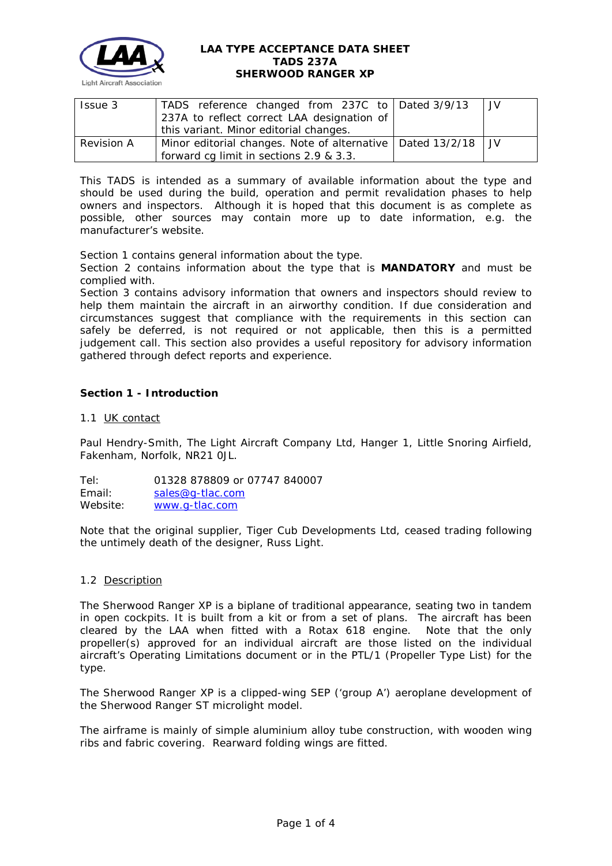

| Issue 3           | TADS reference changed from 237C to Dated 3/9/13                  |  | I JV |  |  |
|-------------------|-------------------------------------------------------------------|--|------|--|--|
|                   | 237A to reflect correct LAA designation of                        |  |      |  |  |
|                   | this variant. Minor editorial changes.                            |  |      |  |  |
| <b>Revision A</b> | Minor editorial changes. Note of alternative   Dated 13/2/18   JV |  |      |  |  |
|                   | forward cg limit in sections 2.9 & 3.3.                           |  |      |  |  |

This TADS is intended as a summary of available information about the type and should be used during the build, operation and permit revalidation phases to help owners and inspectors. Although it is hoped that this document is as complete as possible, other sources may contain more up to date information, e.g. the manufacturer's website.

Section 1 contains general information about the type.

Section 2 contains information about the type that is **MANDATORY** and must be complied with.

Section 3 contains advisory information that owners and inspectors should review to help them maintain the aircraft in an airworthy condition. If due consideration and circumstances suggest that compliance with the requirements in this section can safely be deferred, is not required or not applicable, then this is a permitted judgement call. This section also provides a useful repository for advisory information gathered through defect reports and experience.

# **Section 1 - Introduction**

## 1.1 UK contact

Paul Hendry-Smith, The Light Aircraft Company Ltd, Hanger 1, Little Snoring Airfield, Fakenham, Norfolk, NR21 0JL.

Tel: 01328 878809 or 07747 840007 Email: [sales@g-tlac.com](mailto:sales@g-tlac.com) Website: [www.g-tlac.com](http://www.g-tlac.com/)

Note that the original supplier, Tiger Cub Developments Ltd, ceased trading following the untimely death of the designer, Russ Light.

### 1.2 Description

The Sherwood Ranger XP is a biplane of traditional appearance, seating two in tandem in open cockpits. It is built from a kit or from a set of plans. The aircraft has been cleared by the LAA when fitted with a Rotax 618 engine. Note that the only propeller(s) approved for an individual aircraft are those listed on the individual aircraft's Operating Limitations document or in the PTL/1 (Propeller Type List) for the type.

The Sherwood Ranger XP is a clipped-wing SEP ('group A') aeroplane development of the Sherwood Ranger ST microlight model.

The airframe is mainly of simple aluminium alloy tube construction, with wooden wing ribs and fabric covering. Rearward folding wings are fitted.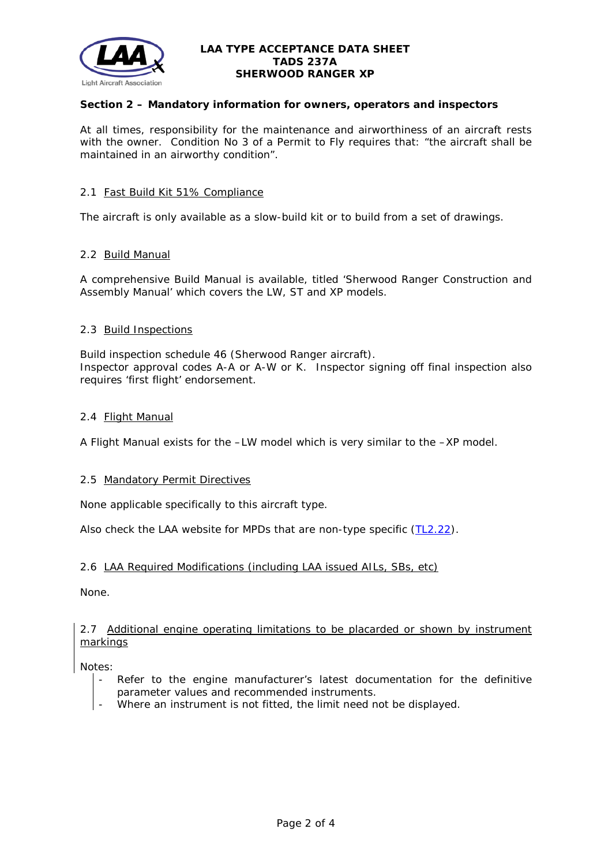

# **Section 2 – Mandatory information for owners, operators and inspectors**

At all times, responsibility for the maintenance and airworthiness of an aircraft rests with the owner. Condition No 3 of a Permit to Fly requires that: *"the aircraft shall be maintained in an airworthy condition".* 

### 2.1 Fast Build Kit 51% Compliance

The aircraft is only available as a slow-build kit or to build from a set of drawings.

## 2.2 Build Manual

A comprehensive Build Manual is available, titled 'Sherwood Ranger Construction and Assembly Manual' which covers the LW, ST and XP models.

## 2.3 Build Inspections

Build inspection schedule 46 (Sherwood Ranger aircraft). Inspector approval codes A-A or A-W or K. Inspector signing off final inspection also requires 'first flight' endorsement.

## 2.4 Flight Manual

A Flight Manual exists for the –LW model which is very similar to the –XP model.

### 2.5 Mandatory Permit Directives

None applicable specifically to this aircraft type.

Also check the LAA website for MPDs that are non-type specific [\(TL2.22\)](http://www.lightaircraftassociation.co.uk/engineering/TechnicalLeaflets/Operating%20An%20Aircraft/TL%202.22%20non-type%20specific%20MPDs.pdf).

# 2.6 LAA Required Modifications (including LAA issued AILs, SBs, etc)

None.

## 2.7 Additional engine operating limitations to be placarded or shown by instrument markings

Notes:

- Refer to the engine manufacturer's latest documentation for the definitive parameter values and recommended instruments.
- Where an instrument is not fitted, the limit need not be displayed.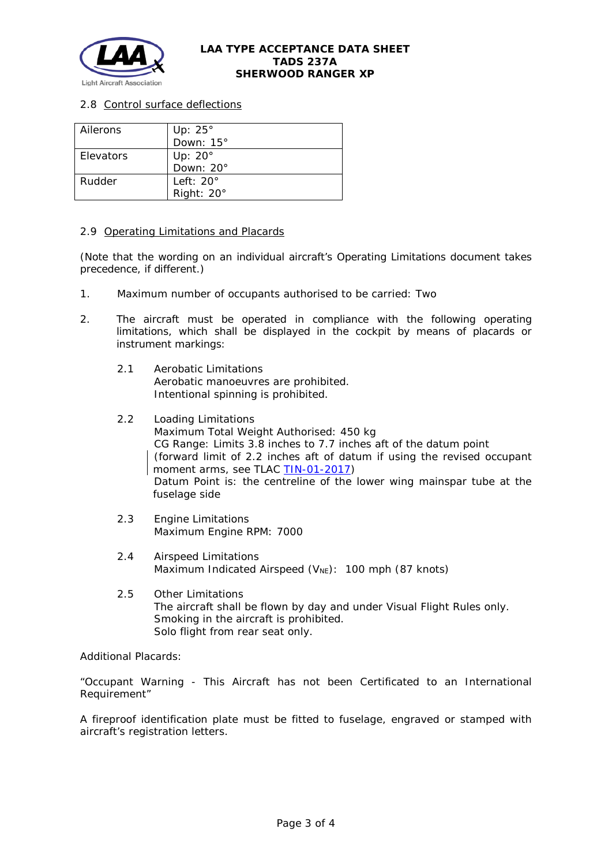

# 2.8 Control surface deflections

| Ailerons  | Up: 25°           |  |  |
|-----------|-------------------|--|--|
|           | Down: $15^\circ$  |  |  |
| Elevators | Up: $20^\circ$    |  |  |
|           | Down: 20°         |  |  |
| Rudder    | Left: $20^\circ$  |  |  |
|           | Right: $20^\circ$ |  |  |

## 2.9 Operating Limitations and Placards

(Note that the wording on an individual aircraft's Operating Limitations document takes precedence, if different.)

- 1. Maximum number of occupants authorised to be carried: Two
- 2. The aircraft must be operated in compliance with the following operating limitations, which shall be displayed in the cockpit by means of placards or instrument markings:
	- 2.1 Aerobatic Limitations Aerobatic manoeuvres are prohibited. Intentional spinning is prohibited.
	- 2.2 Loading Limitations Maximum Total Weight Authorised: 450 kg CG Range: Limits 3.8 inches to 7.7 inches aft of the datum point (forward limit of 2.2 inches aft of datum if using the revised occupant moment arms, see TLAC [TIN-01-2017\)](http://www.lightaircraftassociation.co.uk/engineering/TADs/237B/TIN012017.pdf) Datum Point is: the centreline of the lower wing mainspar tube at the fuselage side
	- 2.3 Engine Limitations Maximum Engine RPM: 7000
	- 2.4 Airspeed Limitations Maximum Indicated Airspeed  $(V_{NE})$ : 100 mph (87 knots)
	- 2.5 Other Limitations The aircraft shall be flown by day and under Visual Flight Rules only. Smoking in the aircraft is prohibited. Solo flight from rear seat only.

Additional Placards:

"Occupant Warning - This Aircraft has not been Certificated to an International Requirement"

A fireproof identification plate must be fitted to fuselage, engraved or stamped with aircraft's registration letters.